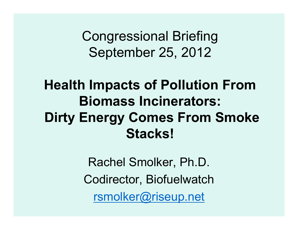Congressional BriefingSeptember 25, 2012

### **Health Impacts of Pollution From Biomass Incinerators:Dirty Energy Comes From Smoke Stacks!**

Rachel Smolker, Ph.D.Codirector, Biofuelwatchrsmolker@riseup.net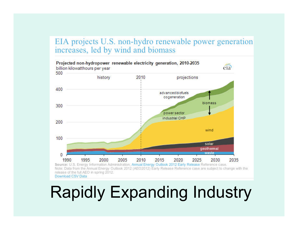#### EIA projects U.S. non-hydro renewable power generation increases, led by wind and biomass



Note: Data from the Annual Energy Outlook 2012 (AEO2012) Early Release Reference case are subject to change with the release of the full AEO in spring 2012. Download CSV Data

## Rapidly Expanding Industry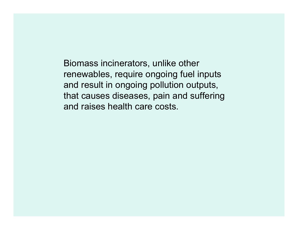Biomass incinerators, unlike other renewables, require ongoing fuel inputs and result in ongoing pollution outputs, that causes diseases, pain and suffering and raises health care costs.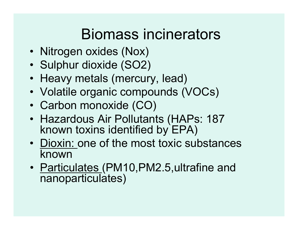## Biomass incinerators

- Nitrogen oxides (Nox)<br>• Sulebur dievide (SO2)
- Sulphur dioxide (SO2)
- Heavy metals (mercury, lead)<br>• Velatile experie espansurede ()
- Volatile organic compounds (VOCs)
- Carbon monoxide (CO)<br>• Llessedeus Air Delluter
- Hazardous Air Pollutants (HAPs: 187<br>• known toxins identified by FPA) known toxins identified by EPA)
- <u>Dioxin:</u> one of the most toxic substances<br>known known
- <u>Particulates (</u>PM10,PM2.5,ultrafine and<br>nanonarticulates) nanoparticulates)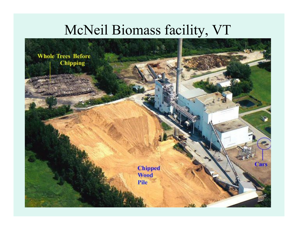### McNeil Biomass facility, VT

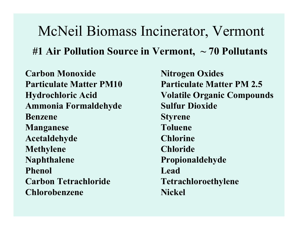McNeil Biomass Incinerator, Vermont**#1 Air Pollution Source in Vermont, ~ 70 Pollutants**

**Carbon Monoxide 1986 Nitrogen Oxides Ammonia Formaldehyde Sulfur Dioxide Benzene** Styrene **Manganese Acetaldehyde ChlorineMethylene Naphthalene PropionaldehydePhenol** Lead **Carbon Tetrachloride Tetrachloroethylene Chlorobenzene Nickel** 

**Particulate Matter PM10 Particulate Matter PM 2.5 Hydrochloric Acid Volatile Organic Compounds Toluene Chloride**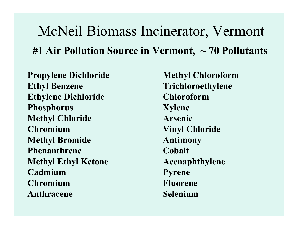## McNeil Biomass Incinerator, Vermont**#1 Air Pollution Source in Vermont, ~ 70 Pollutants**

**Propylene Dichloride Methyl Chloroform Ethyl Benzene TrichloroethyleneEthylene Dichloride Chloroform**Phosphorus Xylene **Methyl Chloride Chromium Vinyl Chloride Methyl Bromide AntimonyPhenanthrene Cobalt Methyl Ethyl Ketone Acenaphthylene Cadmium PyreneChromium Anthracene** 

**Arsenic Fluorene** Selenium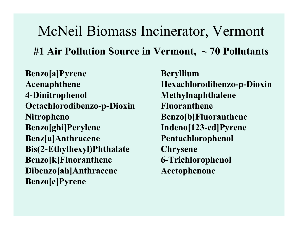McNeil Biomass Incinerator, Vermont**#1 Air Pollution Source in Vermont, ~ 70 Pollutants**

**Benzo[a]Pyrene Beryllium Acenaphthene Hexachlorodibenzo-p-Dioxin 4-Dinitrophenol MethylnaphthaleneOctachlorodibenzo-p-Dioxin**<br> **Nitropheno**<br> **Benzo[b]Fluo Nitropheno**<br>**Benzo[ghi]Perylene**<br>**Indeno[123-cd]Pyrene Benz[a]Anthracene PentachlorophenolBis(2-Ethylhexyl)Phthalate**<br> **Benzo[k]Fluoranthene**<br> **6-Trichlorophenol Benzo[k]Fluoranthene** 6-Trichlorophenole<br>Dibenzo[ah]Anthracene Acetophenone **Dibenzo[ah]Anthracene Benzo[e]Pyrene**

Indeno[123-cd]Pyrene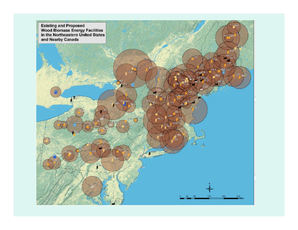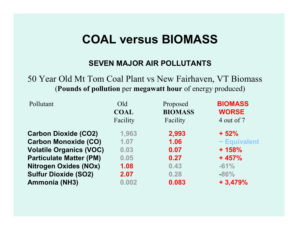### **COAL versus BIOMASS**

#### **SEVEN MAJOR AIR POLLUTANTS**

### 50 Year Old Mt Tom Coal Plant vs New Fairhaven, VT Biomass (**Pounds of pollution** per **megawatt hour** of energy produced)

| Pollutant                      | Old         | Proposed       | <b>BIOMASS</b>    |  |
|--------------------------------|-------------|----------------|-------------------|--|
|                                | <b>COAL</b> | <b>BIOMASS</b> | <b>WORSE</b>      |  |
|                                | Facility    | Facility       | 4 out of 7        |  |
| <b>Carbon Dioxide (CO2)</b>    | 1,963       | 2,993          | $+52%$            |  |
| <b>Carbon Monoxide (CO)</b>    | 1.07        | 1.06           | $\sim$ Equivalent |  |
| <b>Volatile Organics (VOC)</b> | 0.03        | 0.07           | $+158%$           |  |
| <b>Particulate Matter (PM)</b> | 0.05        | 0.27           | $+457%$           |  |
| <b>Nitrogen Oxides (NOx)</b>   | 1.08        | 0.43           | $-61%$            |  |
| <b>Sulfur Dioxide (SO2)</b>    | 2.07        | 0.28           | $-86%$            |  |
| <b>Ammonia (NH3)</b>           | 0.002       | 0.083          | $+3,479%$         |  |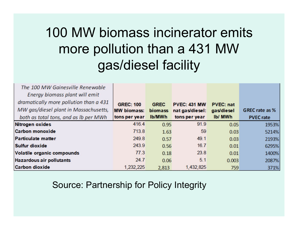### 100 MW biomass incinerator emits more pollution than a 431 MW gas/diesel facility

| The 100 MW Gainesville Renewable<br>Energy biomass plant will emit<br>dramatically more pollution than a 431<br>MW gas/diesel plant in Massachusetts,<br>both as total tons, and as Ib per MWh | <b>GREC: 100</b><br><b>MW biomass:</b><br>tons per year | <b>GREC</b><br><b>biomass</b><br>Ib/MWh | <b>PVEC: 431 MW</b><br>nat gas/diesel:<br>tons per year | <b>PVEC: nat</b><br>gas/diesel<br>Ib/ MWh | <b>GREC</b> rate as %<br><b>PVEC rate</b> |
|------------------------------------------------------------------------------------------------------------------------------------------------------------------------------------------------|---------------------------------------------------------|-----------------------------------------|---------------------------------------------------------|-------------------------------------------|-------------------------------------------|
| Nitrogen oxides                                                                                                                                                                                | 416.4                                                   | 0.95                                    | 91.9                                                    | 0.05                                      | 1953%                                     |
| <b>Carbon monoxide</b>                                                                                                                                                                         | 713.8                                                   | 1.63                                    | 59                                                      | 0.03                                      | 5214%                                     |
| <b>Particulate matter</b>                                                                                                                                                                      | 249.8                                                   | 0.57                                    | 49.1                                                    | 0.03                                      | 2193%                                     |
| <b>Sulfur dioxide</b>                                                                                                                                                                          | 243.9                                                   | 0.56                                    | 16.7                                                    | 0.01                                      | 6295%                                     |
| Volatile organic compounds                                                                                                                                                                     | 77.3                                                    | 0.18                                    | 23.8                                                    | 0.01                                      | 1400%                                     |
| <b>Hazardous air pollutants</b>                                                                                                                                                                | 24.7                                                    | 0.06                                    | 5.1                                                     | 0.003                                     | 2087%                                     |
| <b>Carbon dioxide</b>                                                                                                                                                                          | 1,232,225                                               | 2,813                                   | 1,432,825                                               | 759                                       | 371%                                      |

#### Source: Partnership for Policy Integrity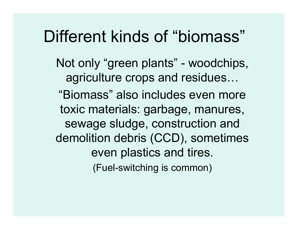## Different kinds of "biomass"

Not only "green plants" - woodchips, agriculture crops and residues... "Biomass" also includes even more toxic materials: garbage, manures, sewage sludge, construction and demolition debris (CCD), sometimes even plastics and tires.(Fuel-switching is common)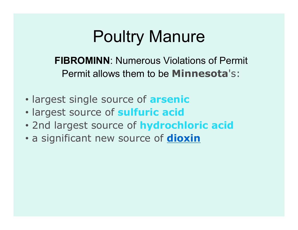## Poultry Manure

**FIBROMINN**: Numerous Violations of Permit Permit allows them to be **Minnesota**'s:

- largest single source of **arsenic**
- largest source of **sulfuric acid**
- 2nd largest source of **hydrochloric acid**
- a significant new source of **dioxin**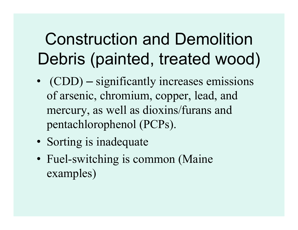# Construction and Demolition Debris (painted, treated wood)

- $(CDD)$ – significantly increases emissions of arsenic, chromium, copper, lead, and mercury, as well as dioxins/furans and pentachlorophenol (PCPs).
- Sorting is inadequate
- Fuel-switching is common (Maine examples)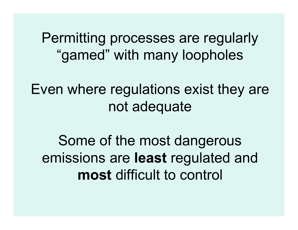Permitting processes are regularly "gamed" with many loopholes

Even where regulations exist they are not adequate

Some of the most dangerous emissions are **least** regulated and **most** difficult to control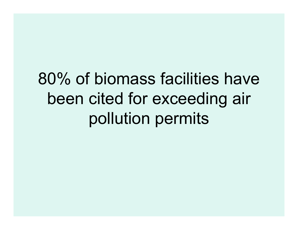# 80% of biomass facilities have been cited for exceeding air pollution permits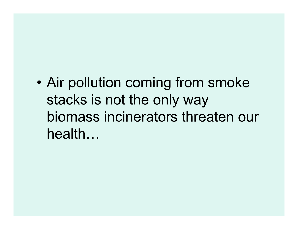•Air pollution coming from smoke stacks is not the only way biomass incinerators threaten our health...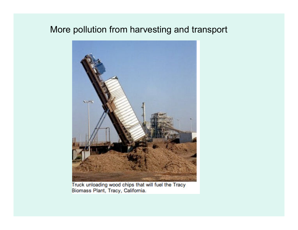### More pollution from harvesting and transport



Truck unloading wood chips that will fuel the Tracy Biomass Plant, Tracy, California.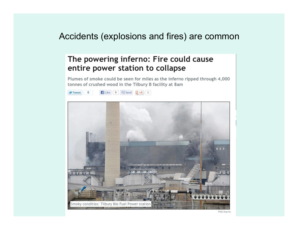### Accidents (explosions and fires) are common

#### The powering inferno: Fire could cause entire power station to collapse

Plumes of smoke could be seen for miles as the inferno ripped through 4,000 tonnes of crushed wood in the Tilbury B facility at 8am

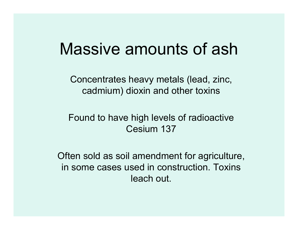## Massive amounts of ash

Concentrates heavy metals (lead, zinc, cadmium) dioxin and other toxins

### Found to have high levels of radioactive Cesium 137

Often sold as soil amendment for agriculture, in some cases used in construction. Toxins leach out.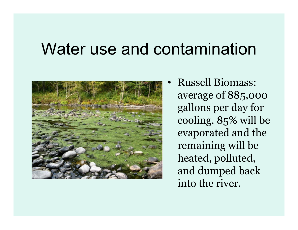## Water use and contamination



 Russell Biomass: average of 885,000 gallons per day for cooling. 85% will be evaporated and the remaining will be heated, polluted, and dumped back into the river.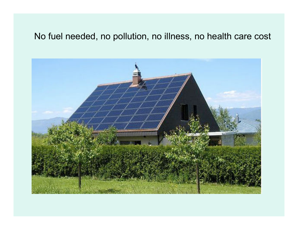### No fuel needed, no pollution, no illness, no health care cost

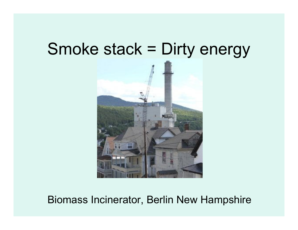## Smoke stack = Dirty energy



### Biomass Incinerator, Berlin New Hampshire